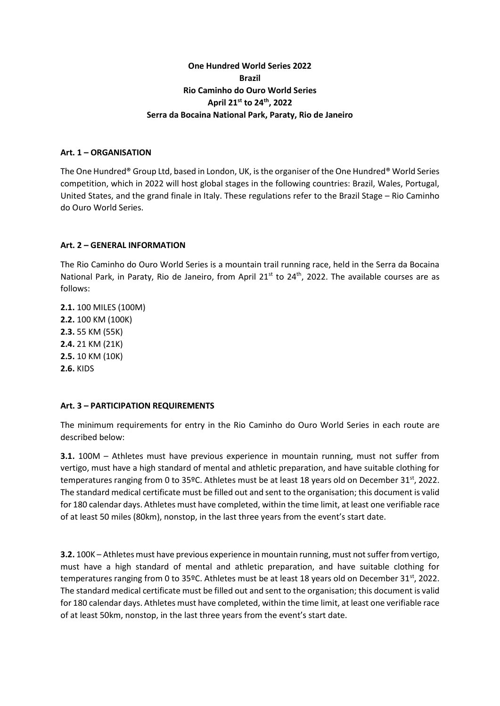# **One Hundred World Series 2022 Brazil Rio Caminho do Ouro World Series April 21st to 24th, 2022 Serra da Bocaina National Park, Paraty, Rio de Janeiro**

# **Art. 1 – ORGANISATION**

The One Hundred® Group Ltd, based in London, UK, is the organiser of the One Hundred® World Series competition, which in 2022 will host global stages in the following countries: Brazil, Wales, Portugal, United States, and the grand finale in Italy. These regulations refer to the Brazil Stage – Rio Caminho do Ouro World Series.

# **Art. 2 – GENERAL INFORMATION**

The Rio Caminho do Ouro World Series is a mountain trail running race, held in the Serra da Bocaina National Park, in Paraty, Rio de Janeiro, from April 21<sup>st</sup> to 24<sup>th</sup>, 2022. The available courses are as follows:

**2.1.** 100 MILES (100M) **2.2.** 100 KM (100K) **2.3.** 55 KM (55K) **2.4.** 21 KM (21K) **2.5.** 10 KM (10K) **2.6.** KIDS

## **Art. 3 – PARTICIPATION REQUIREMENTS**

The minimum requirements for entry in the Rio Caminho do Ouro World Series in each route are described below:

**3.1.** 100M – Athletes must have previous experience in mountain running, must not suffer from vertigo, must have a high standard of mental and athletic preparation, and have suitable clothing for temperatures ranging from 0 to 35ºC. Athletes must be at least 18 years old on December 31<sup>st</sup>, 2022. The standard medical certificate must be filled out and sent to the organisation; this document is valid for 180 calendar days. Athletes must have completed, within the time limit, at least one verifiable race of at least 50 miles (80km), nonstop, in the last three years from the event's start date.

**3.2.** 100K – Athletes must have previous experience in mountain running, must not suffer from vertigo, must have a high standard of mental and athletic preparation, and have suitable clothing for temperatures ranging from 0 to 35ºC. Athletes must be at least 18 years old on December 31<sup>st</sup>, 2022. The standard medical certificate must be filled out and sent to the organisation; this document is valid for 180 calendar days. Athletes must have completed, within the time limit, at least one verifiable race of at least 50km, nonstop, in the last three years from the event's start date.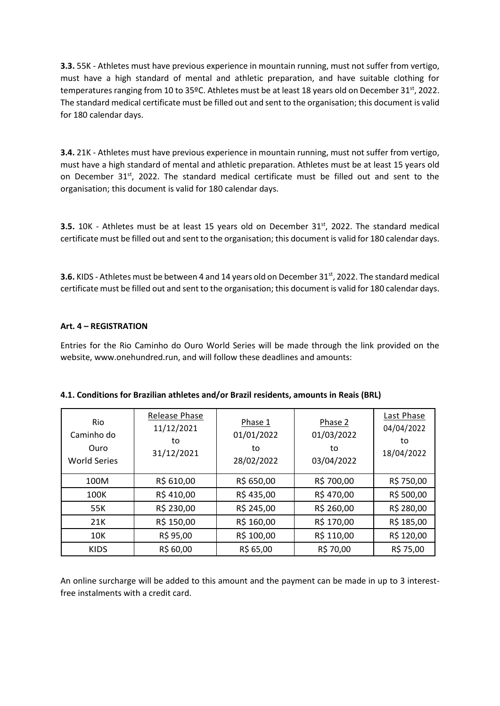**3.3.** 55K - Athletes must have previous experience in mountain running, must not suffer from vertigo, must have a high standard of mental and athletic preparation, and have suitable clothing for temperatures ranging from 10 to 35ºC. Athletes must be at least 18 years old on December 31<sup>st</sup>, 2022. The standard medical certificate must be filled out and sent to the organisation; this document is valid for 180 calendar days.

**3.4.** 21K - Athletes must have previous experience in mountain running, must not suffer from vertigo, must have a high standard of mental and athletic preparation. Athletes must be at least 15 years old on December 31<sup>st</sup>, 2022. The standard medical certificate must be filled out and sent to the organisation; this document is valid for 180 calendar days.

**3.5.** 10K - Athletes must be at least 15 years old on December 31<sup>st</sup>, 2022. The standard medical certificate must be filled out and sent to the organisation; this document is valid for 180 calendar days.

**3.6.** KIDS - Athletes must be between 4 and 14 years old on December 31<sup>st</sup>, 2022. The standard medical certificate must be filled out and sent to the organisation; this document is valid for 180 calendar days.

#### **Art. 4 – REGISTRATION**

Entries for the Rio Caminho do Ouro World Series will be made through the link provided on the website, www.onehundred.run, and will follow these deadlines and amounts:

| Rio<br>Caminho do<br>Ouro<br><b>World Series</b> | <b>Release Phase</b><br>11/12/2021<br>to<br>31/12/2021 | Phase 1<br>01/01/2022<br>to<br>28/02/2022 | Phase 2<br>01/03/2022<br>to<br>03/04/2022 | Last Phase<br>04/04/2022<br>to<br>18/04/2022 |
|--------------------------------------------------|--------------------------------------------------------|-------------------------------------------|-------------------------------------------|----------------------------------------------|
| 100M                                             | R\$ 610,00                                             | R\$ 650,00                                | R\$ 700,00                                | R\$ 750,00                                   |
| 100K                                             | R\$410,00                                              | R\$435,00                                 | R\$470,00                                 | R\$ 500,00                                   |
| 55K                                              | R\$ 230,00                                             | R\$ 245,00                                | R\$ 260,00                                | R\$ 280,00                                   |
| 21K                                              | R\$ 150,00                                             | R\$ 160,00                                | R\$ 170,00                                | R\$ 185,00                                   |
| 10K                                              | R\$ 95,00                                              | R\$ 100,00                                | R\$ 110,00                                | R\$ 120,00                                   |
| <b>KIDS</b>                                      | R\$ 60,00                                              | R\$ 65,00                                 | R\$ 70,00                                 | R\$ 75,00                                    |

|  |  |  |  | 4.1. Conditions for Brazilian athletes and/or Brazil residents, amounts in Reais (BRL) |
|--|--|--|--|----------------------------------------------------------------------------------------|
|--|--|--|--|----------------------------------------------------------------------------------------|

An online surcharge will be added to this amount and the payment can be made in up to 3 interestfree instalments with a credit card.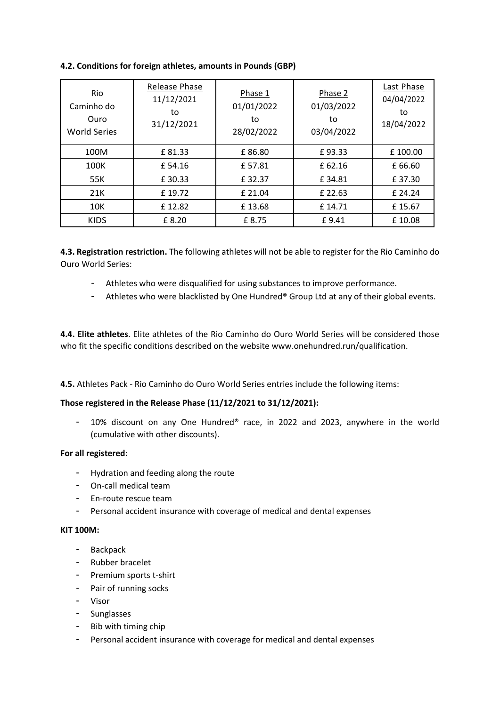# **4.2. Conditions for foreign athletes, amounts in Pounds (GBP)**

| Rio<br>Caminho do<br>Ouro<br><b>World Series</b> | Release Phase<br>11/12/2021<br>to<br>31/12/2021 | Phase 1<br>01/01/2022<br>to<br>28/02/2022 | Phase 2<br>01/03/2022<br>to<br>03/04/2022 | Last Phase<br>04/04/2022<br>to<br>18/04/2022 |
|--------------------------------------------------|-------------------------------------------------|-------------------------------------------|-------------------------------------------|----------------------------------------------|
| 100M                                             | £81.33                                          | £86.80                                    | £93.33                                    | £100.00                                      |
| 100K                                             | £54.16                                          | £57.81                                    | £62.16                                    | £ 66.60                                      |
| 55K                                              | £30.33                                          | £32.37                                    | £34.81                                    | £ 37.30                                      |
| 21K                                              | £19.72                                          | £ 21.04                                   | £ 22.63                                   | £ 24.24                                      |
| 10K                                              | £12.82                                          | £13.68                                    | £14.71                                    | £15.67                                       |
| <b>KIDS</b>                                      | £8.20                                           | £8.75                                     | £9.41                                     | £10.08                                       |

**4.3. Registration restriction.** The following athletes will not be able to register for the Rio Caminho do Ouro World Series:

- Athletes who were disqualified for using substances to improve performance.
- Athletes who were blacklisted by One Hundred® Group Ltd at any of their global events.

**4.4. Elite athletes**. Elite athletes of the Rio Caminho do Ouro World Series will be considered those who fit the specific conditions described on the website www.onehundred.run/qualification.

**4.5.** Athletes Pack - Rio Caminho do Ouro World Series entries include the following items:

## **Those registered in the Release Phase (11/12/2021 to 31/12/2021):**

- 10% discount on any One Hundred® race, in 2022 and 2023, anywhere in the world (cumulative with other discounts).

## **For all registered:**

- Hydration and feeding along the route
- On-call medical team
- En-route rescue team
- Personal accident insurance with coverage of medical and dental expenses

# **KIT 100M:**

- Backpack
- Rubber bracelet
- Premium sports t-shirt
- Pair of running socks
- Visor
- Sunglasses
- Bib with timing chip
- Personal accident insurance with coverage for medical and dental expenses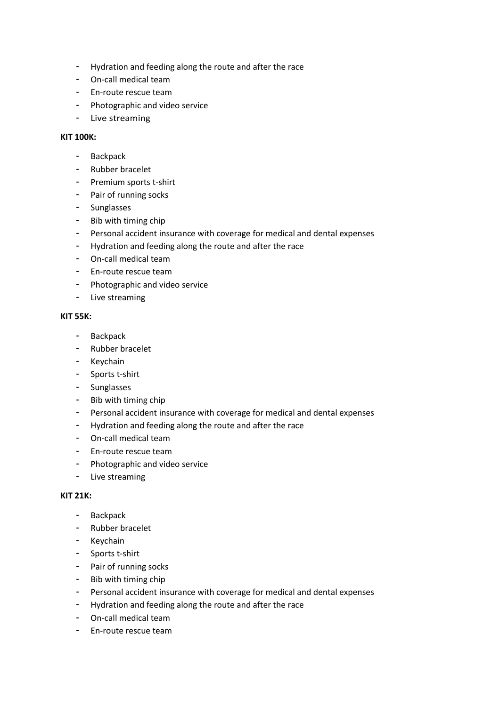- Hydration and feeding along the route and after the race
- On-call medical team
- En-route rescue team
- Photographic and video service
- Live streaming

# **KIT 100K:**

- Backpack
- Rubber bracelet
- Premium sports t-shirt
- Pair of running socks
- Sunglasses
- Bib with timing chip
- Personal accident insurance with coverage for medical and dental expenses
- Hydration and feeding along the route and after the race
- On-call medical team
- En-route rescue team
- Photographic and video service
- Live streaming

# **KIT 55K:**

- Backpack
- Rubber bracelet
- Keychain
- Sports t-shirt
- Sunglasses
- Bib with timing chip
- Personal accident insurance with coverage for medical and dental expenses
- Hydration and feeding along the route and after the race
- On-call medical team
- En-route rescue team
- Photographic and video service
- Live streaming

## **KIT 21K:**

- Backpack
- Rubber bracelet
- Keychain
- Sports t-shirt
- Pair of running socks
- Bib with timing chip
- Personal accident insurance with coverage for medical and dental expenses
- Hydration and feeding along the route and after the race
- On-call medical team
- En-route rescue team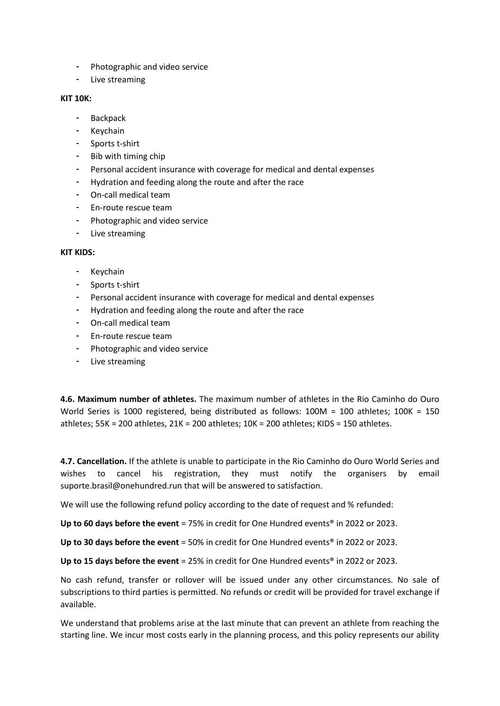- Photographic and video service
- Live streaming

## **KIT 10K:**

- **Backpack**
- **Keychain**
- Sports t-shirt
- Bib with timing chip
- Personal accident insurance with coverage for medical and dental expenses
- Hydration and feeding along the route and after the race
- On-call medical team
- En-route rescue team
- Photographic and video service
- Live streaming

## **KIT KIDS:**

- Keychain
- Sports t-shirt
- Personal accident insurance with coverage for medical and dental expenses
- Hydration and feeding along the route and after the race
- On-call medical team
- En-route rescue team
- Photographic and video service
- Live streaming

**4.6. Maximum number of athletes.** The maximum number of athletes in the Rio Caminho do Ouro World Series is 1000 registered, being distributed as follows: 100M = 100 athletes; 100K = 150 athletes; 55K = 200 athletes, 21K = 200 athletes; 10K = 200 athletes; KIDS = 150 athletes.

**4.7. Cancellation.** If the athlete is unable to participate in the Rio Caminho do Ouro World Series and wishes to cancel his registration, they must notify the organisers by email suporte.brasil@onehundred.run that will be answered to satisfaction.

We will use the following refund policy according to the date of request and % refunded:

**Up to 60 days before the event** = 75% in credit for One Hundred events® in 2022 or 2023.

**Up to 30 days before the event** = 50% in credit for One Hundred events® in 2022 or 2023.

**Up to 15 days before the event** = 25% in credit for One Hundred events® in 2022 or 2023.

No cash refund, transfer or rollover will be issued under any other circumstances. No sale of subscriptions to third parties is permitted. No refunds or credit will be provided for travel exchange if available.

We understand that problems arise at the last minute that can prevent an athlete from reaching the starting line. We incur most costs early in the planning process, and this policy represents our ability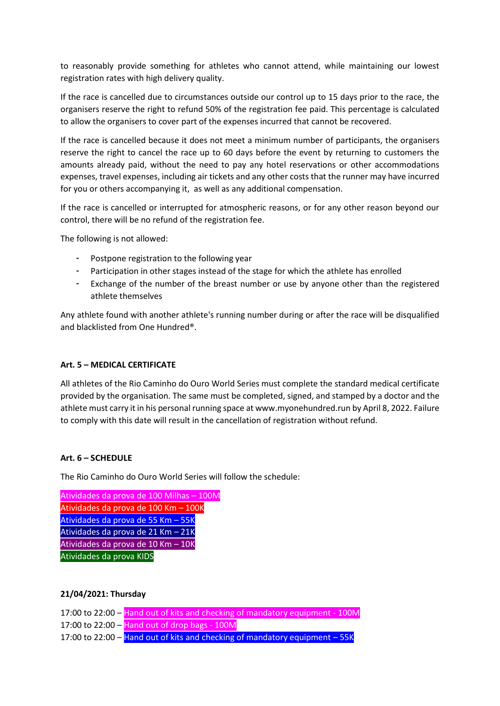to reasonably provide something for athletes who cannot attend, while maintaining our lowest registration rates with high delivery quality.

If the race is cancelled due to circumstances outside our control up to 15 days prior to the race, the organisers reserve the right to refund 50% of the registration fee paid. This percentage is calculated to allow the organisers to cover part of the expenses incurred that cannot be recovered.

If the race is cancelled because it does not meet a minimum number of participants, the organisers reserve the right to cancel the race up to 60 days before the event by returning to customers the amounts already paid, without the need to pay any hotel reservations or other accommodations expenses, travel expenses, including air tickets and any other costs that the runner may have incurred for you or others accompanying it, as well as any additional compensation.

If the race is cancelled or interrupted for atmospheric reasons, or for any other reason beyond our control, there will be no refund of the registration fee.

The following is not allowed:

- Postpone registration to the following year
- Participation in other stages instead of the stage for which the athlete has enrolled
- Exchange of the number of the breast number or use by anyone other than the registered athlete themselves

Any athlete found with another athlete's running number during or after the race will be disqualified and blacklisted from One Hundred®.

## **Art. 5 – MEDICAL CERTIFICATE**

All athletes of the Rio Caminho do Ouro World Series must complete the standard medical certificate provided by the organisation. The same must be completed, signed, and stamped by a doctor and the athlete must carry it in his personal running space at www.myonehundred.run by April 8, 2022. Failure to comply with this date will result in the cancellation of registration without refund.

## **Art. 6 – SCHEDULE**

The Rio Caminho do Ouro World Series will follow the schedule:

Atividades da prova de 100 Milhas – 100M Atividades da prova de 100 Km – 100K Atividades da prova de 55 Km – 55K Atividades da prova de 21 Km – 21K Atividades da prova de 10 Km – 10K Atividades da prova KIDS

## **21/04/2021: Thursday**

|  | 17:00 to 22:00 - Hand out of kits and checking of mandatory equipment - 100M |  |
|--|------------------------------------------------------------------------------|--|
|--|------------------------------------------------------------------------------|--|

17:00 to 22:00 – Hand out of drop bags - 100M

17:00 to 22:00 – Hand out of kits and checking of mandatory equipment – 55K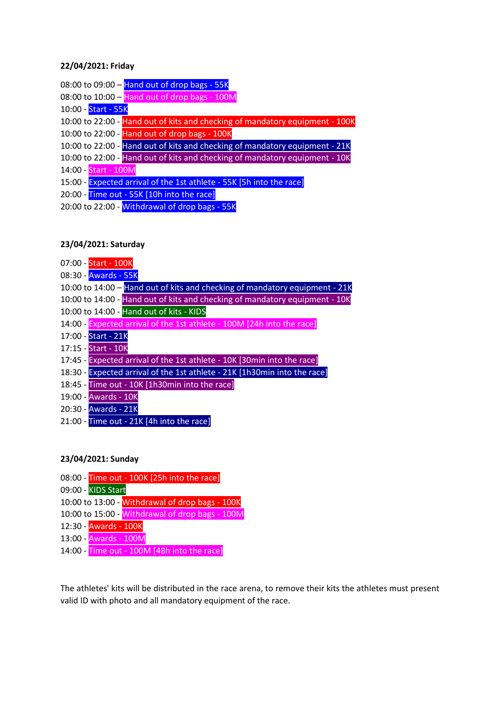# **22/04/2021: Friday**

- 08:00 to 09:00 Hand out of drop bags 55K 08:00 to 10:00 – Hand out of drop bags - 100M 10:00 - Start - 55K 10:00 to 22:00 - Hand out of kits and checking of mandatory equipment - 100K 10:00 to 22:00 - Hand out of drop bags - 100K 10:00 to 22:00 - Hand out of kits and checking of mandatory equipment - 21K 10:00 to 22:00 - Hand out of kits and checking of mandatory equipment - 10K 14:00 - Start - 100M 15:00 - Expected arrival of the 1st athlete - 55K [5h into the race] 20:00 - Time out - 55K [10h into the race]
- 20:00 to 22:00 Withdrawal of drop bags 55K

# **23/04/2021: Saturday**

- 07:00 Start 100K
- 08:30 Awards 55K

10:00 to 14:00 – Hand out of kits and checking of mandatory equipment - 21K

- 10:00 to 14:00 Hand out of kits and checking of mandatory equipment 10K
- 10:00 to 14:00 Hand out of kits KIDS
- 14:00 Expected arrival of the 1st athlete 100M [24h into the race]
- 17:00 Start 21K
- 17:15 Start 10K
- 17:45 Expected arrival of the 1st athlete 10K [30min into the race]
- 18:30 Expected arrival of the 1st athlete 21K [1h30min into the race]
- 18:45 Time out 10K [1h30min into the race]
- 19:00 Awards 10K
- 20:30 Awards 21K
- 21:00 Time out 21K [4h into the race]

**23/04/2021: Sunday**

- 08:00 Time out 100K [25h into the race]
- 09:00 KIDS Start
- 10:00 to 13:00 Withdrawal of drop bags 100K
- 10:00 to 15:00 Withdrawal of drop bags 100M
- 12:30 Awards 100K
- 13:00 Awards 100M
- 14:00 Time out 100M [48h into the race]

The athletes' kits will be distributed in the race arena, to remove their kits the athletes must present valid ID with photo and all mandatory equipment of the race.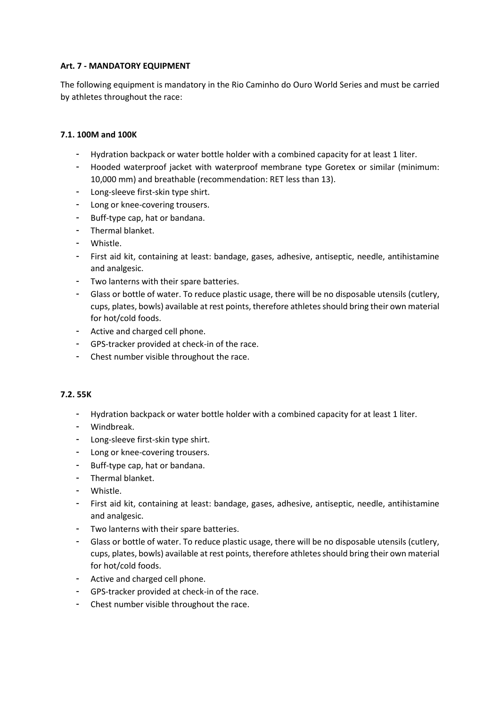# **Art. 7 - MANDATORY EQUIPMENT**

The following equipment is mandatory in the Rio Caminho do Ouro World Series and must be carried by athletes throughout the race:

# **7.1. 100M and 100K**

- Hydration backpack or water bottle holder with a combined capacity for at least 1 liter.
- Hooded waterproof jacket with waterproof membrane type Goretex or similar (minimum: 10,000 mm) and breathable (recommendation: RET less than 13).
- Long-sleeve first-skin type shirt.
- Long or knee-covering trousers.
- Buff-type cap, hat or bandana.
- Thermal blanket.
- Whistle.
- First aid kit, containing at least: bandage, gases, adhesive, antiseptic, needle, antihistamine and analgesic.
- Two lanterns with their spare batteries.
- Glass or bottle of water. To reduce plastic usage, there will be no disposable utensils (cutlery, cups, plates, bowls) available at rest points, therefore athletes should bring their own material for hot/cold foods.
- Active and charged cell phone.
- GPS-tracker provided at check-in of the race.
- Chest number visible throughout the race.

## **7.2. 55K**

- Hydration backpack or water bottle holder with a combined capacity for at least 1 liter.
- Windbreak.
- Long-sleeve first-skin type shirt.
- Long or knee-covering trousers.
- Buff-type cap, hat or bandana.
- Thermal blanket.
- Whistle.
- First aid kit, containing at least: bandage, gases, adhesive, antiseptic, needle, antihistamine and analgesic.
- Two lanterns with their spare batteries.
- Glass or bottle of water. To reduce plastic usage, there will be no disposable utensils (cutlery, cups, plates, bowls) available at rest points, therefore athletes should bring their own material for hot/cold foods.
- Active and charged cell phone.
- GPS-tracker provided at check-in of the race.
- Chest number visible throughout the race.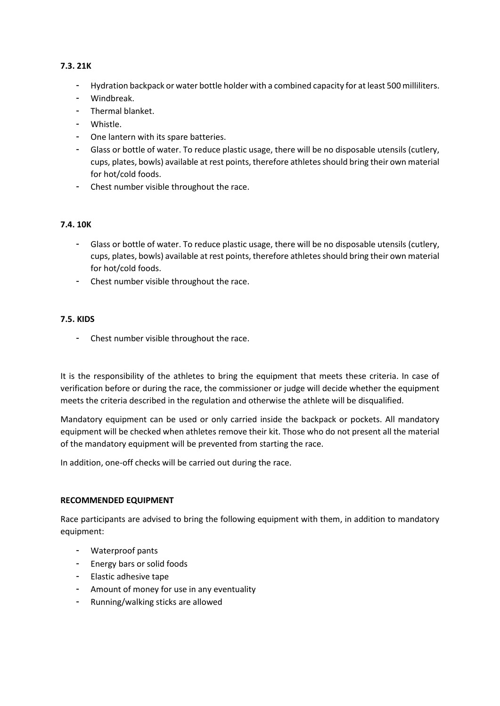# **7.3. 21K**

- Hydration backpack or water bottle holder with a combined capacity for at least 500 milliliters.
- Windbreak.
- Thermal blanket.
- Whistle.
- One lantern with its spare batteries.
- Glass or bottle of water. To reduce plastic usage, there will be no disposable utensils (cutlery, cups, plates, bowls) available at rest points, therefore athletes should bring their own material for hot/cold foods.
- Chest number visible throughout the race.

# **7.4. 10K**

- Glass or bottle of water. To reduce plastic usage, there will be no disposable utensils (cutlery, cups, plates, bowls) available at rest points, therefore athletes should bring their own material for hot/cold foods.
- Chest number visible throughout the race.

## **7.5. KIDS**

- Chest number visible throughout the race.

It is the responsibility of the athletes to bring the equipment that meets these criteria. In case of verification before or during the race, the commissioner or judge will decide whether the equipment meets the criteria described in the regulation and otherwise the athlete will be disqualified.

Mandatory equipment can be used or only carried inside the backpack or pockets. All mandatory equipment will be checked when athletes remove their kit. Those who do not present all the material of the mandatory equipment will be prevented from starting the race.

In addition, one-off checks will be carried out during the race.

## **RECOMMENDED EQUIPMENT**

Race participants are advised to bring the following equipment with them, in addition to mandatory equipment:

- Waterproof pants
- Energy bars or solid foods
- Elastic adhesive tape
- Amount of money for use in any eventuality
- Running/walking sticks are allowed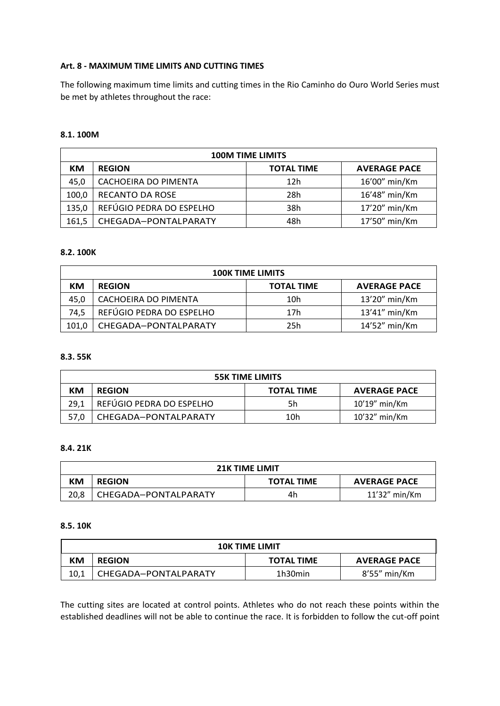## **Art. 8 - MAXIMUM TIME LIMITS AND CUTTING TIMES**

The following maximum time limits and cutting times in the Rio Caminho do Ouro World Series must be met by athletes throughout the race:

# **8.1. 100M**

| <b>100M TIME LIMITS</b> |                          |                   |                     |
|-------------------------|--------------------------|-------------------|---------------------|
| КM                      | <b>REGION</b>            | <b>TOTAL TIME</b> | <b>AVERAGE PACE</b> |
| 45,0                    | CACHOEIRA DO PIMENTA     | 12 <sub>h</sub>   | 16'00" min/Km       |
| 100,0                   | <b>RECANTO DA ROSE</b>   | 28h               | 16'48" min/Km       |
| 135,0                   | REFÚGIO PEDRA DO ESPELHO | 38h               | 17'20" min/Km       |
| 161,5                   | CHEGADA-PONTALPARATY     | 48h               | 17'50" min/Km       |

# **8.2. 100K**

| <b>100K TIME LIMITS</b> |                          |                   |                     |
|-------------------------|--------------------------|-------------------|---------------------|
| КM                      | <b>REGION</b>            | <b>TOTAL TIME</b> | <b>AVERAGE PACE</b> |
| 45,0                    | CACHOEIRA DO PIMENTA     | 10 <sub>h</sub>   | 13'20" min/Km       |
| 74,5                    | REFÚGIO PEDRA DO ESPELHO | 17h               | 13'41" min/Km       |
| 101,0                   | CHEGADA-PONTALPARATY     | 25h               | 14'52" min/Km       |

## **8.3. 55K**

| <b>55K TIME LIMITS</b> |                          |                   |                     |
|------------------------|--------------------------|-------------------|---------------------|
| КM                     | <b>REGION</b>            | <b>TOTAL TIME</b> | <b>AVERAGE PACE</b> |
| 29,1                   | REFÚGIO PEDRA DO ESPELHO | 5h                | 10'19" min/Km       |
| 57,0                   | CHEGADA-PONTALPARATY     | 10h               | 10'32" min/Km       |

# **8.4. 21K**

| <b>21K TIME LIMIT</b> |                      |                   |                     |
|-----------------------|----------------------|-------------------|---------------------|
| КM                    | <b>REGION</b>        | <b>TOTAL TIME</b> | <b>AVERAGE PACE</b> |
| 20,8                  | CHEGADA-PONTALPARATY | 4h                | 11'32" min/Km       |

#### **8.5. 10K**

| <b>10K TIME LIMIT</b> |                      |                   |                     |
|-----------------------|----------------------|-------------------|---------------------|
| КM                    | <b>REGION</b>        | <b>TOTAL TIME</b> | <b>AVERAGE PACE</b> |
| 10.1                  | CHEGADA-PONTALPARATY | 1h30min           | 8'55" min/Km        |

The cutting sites are located at control points. Athletes who do not reach these points within the established deadlines will not be able to continue the race. It is forbidden to follow the cut-off point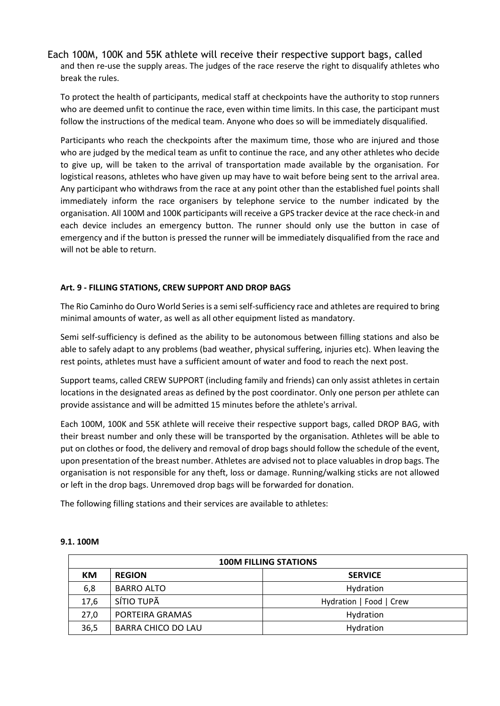Each 100M, 100K and 55K athlete will receive their respective support bags, called and then re-use the supply areas. The judges of the race reserve the right to disqualify athletes who break the rules.

To protect the health of participants, medical staff at checkpoints have the authority to stop runners who are deemed unfit to continue the race, even within time limits. In this case, the participant must follow the instructions of the medical team. Anyone who does so will be immediately disqualified.

Participants who reach the checkpoints after the maximum time, those who are injured and those who are judged by the medical team as unfit to continue the race, and any other athletes who decide to give up, will be taken to the arrival of transportation made available by the organisation. For logistical reasons, athletes who have given up may have to wait before being sent to the arrival area. Any participant who withdraws from the race at any point other than the established fuel points shall immediately inform the race organisers by telephone service to the number indicated by the organisation. All 100M and 100K participants will receive a GPS tracker device at the race check-in and each device includes an emergency button. The runner should only use the button in case of emergency and if the button is pressed the runner will be immediately disqualified from the race and will not be able to return.

# **Art. 9 - FILLING STATIONS, CREW SUPPORT AND DROP BAGS**

The Rio Caminho do Ouro World Series is a semi self-sufficiency race and athletes are required to bring minimal amounts of water, as well as all other equipment listed as mandatory.

Semi self-sufficiency is defined as the ability to be autonomous between filling stations and also be able to safely adapt to any problems (bad weather, physical suffering, injuries etc). When leaving the rest points, athletes must have a sufficient amount of water and food to reach the next post.

Support teams, called CREW SUPPORT (including family and friends) can only assist athletes in certain locations in the designated areas as defined by the post coordinator. Only one person per athlete can provide assistance and will be admitted 15 minutes before the athlete's arrival.

Each 100M, 100K and 55K athlete will receive their respective support bags, called DROP BAG, with their breast number and only these will be transported by the organisation. Athletes will be able to put on clothes or food, the delivery and removal of drop bags should follow the schedule of the event, upon presentation of the breast number. Athletes are advised not to place valuables in drop bags. The organisation is not responsible for any theft, loss or damage. Running/walking sticks are not allowed or left in the drop bags. Unremoved drop bags will be forwarded for donation.

The following filling stations and their services are available to athletes:

| <b>100M FILLING STATIONS</b> |                    |                         |
|------------------------------|--------------------|-------------------------|
| КM                           | <b>REGION</b>      | <b>SERVICE</b>          |
| 6,8                          | <b>BARRO ALTO</b>  | Hydration               |
| 17,6                         | SÍTIO TUPÃ         | Hydration   Food   Crew |
| 27,0                         | PORTEIRA GRAMAS    | Hydration               |
| 36,5                         | BARRA CHICO DO LAU | Hydration               |

#### **9.1. 100M**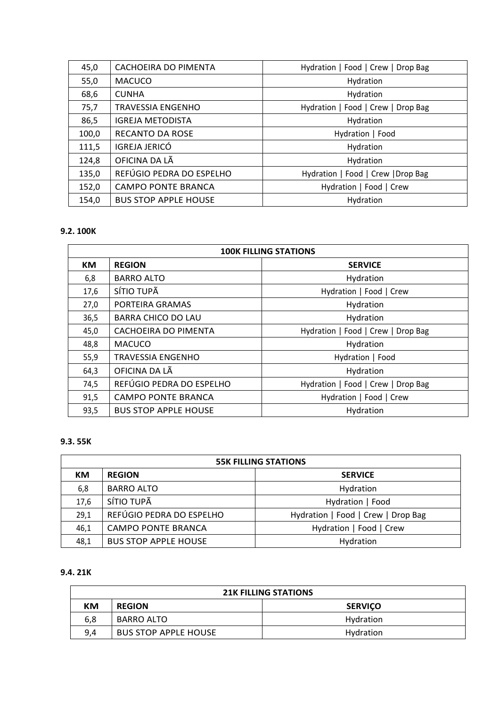| 45,0  | CACHOEIRA DO PIMENTA        | Hydration   Food   Crew   Drop Bag |
|-------|-----------------------------|------------------------------------|
| 55,0  | <b>MACUCO</b>               | Hydration                          |
| 68,6  | <b>CUNHA</b>                | Hydration                          |
| 75,7  | <b>TRAVESSIA ENGENHO</b>    | Hydration   Food   Crew   Drop Bag |
| 86,5  | <b>IGREJA METODISTA</b>     | Hydration                          |
| 100,0 | <b>RECANTO DA ROSE</b>      | Hydration   Food                   |
| 111,5 | <b>IGREJA JERICÓ</b>        | Hydration                          |
| 124,8 | OFICINA DA LÃ               | Hydration                          |
| 135,0 | REFÚGIO PEDRA DO ESPELHO    | Hydration   Food   Crew   Drop Bag |
| 152,0 | <b>CAMPO PONTE BRANCA</b>   | Hydration   Food   Crew            |
| 154,0 | <b>BUS STOP APPLE HOUSE</b> | Hydration                          |

# **9.2. 100K**

| <b>100K FILLING STATIONS</b> |                             |                                    |  |
|------------------------------|-----------------------------|------------------------------------|--|
| <b>KM</b>                    | <b>REGION</b>               | <b>SERVICE</b>                     |  |
| 6,8                          | <b>BARRO ALTO</b>           | Hydration                          |  |
| 17,6                         | SÍTIO TUPÃ                  | Hydration   Food   Crew            |  |
| 27,0                         | PORTEIRA GRAMAS             | Hydration                          |  |
| 36,5                         | <b>BARRA CHICO DO LAU</b>   | Hydration                          |  |
| 45,0                         | CACHOEIRA DO PIMENTA        | Hydration   Food   Crew   Drop Bag |  |
| 48,8                         | <b>MACUCO</b>               | Hydration                          |  |
| 55,9                         | <b>TRAVESSIA ENGENHO</b>    | Hydration   Food                   |  |
| 64,3                         | OFICINA DA LÃ               | Hydration                          |  |
| 74,5                         | REFÚGIO PEDRA DO ESPELHO    | Hydration   Food   Crew   Drop Bag |  |
| 91,5                         | <b>CAMPO PONTE BRANCA</b>   | Hydration   Food   Crew            |  |
| 93,5                         | <b>BUS STOP APPLE HOUSE</b> | Hydration                          |  |

# **9.3. 55K**

| <b>55K FILLING STATIONS</b> |                             |                                    |  |  |  |
|-----------------------------|-----------------------------|------------------------------------|--|--|--|
| КM                          | <b>REGION</b>               | <b>SERVICE</b>                     |  |  |  |
| 6,8                         | <b>BARRO ALTO</b>           | Hydration                          |  |  |  |
| 17,6                        | SÍTIO TUPÃ                  | Hydration   Food                   |  |  |  |
| 29,1                        | REFÚGIO PEDRA DO ESPELHO    | Hydration   Food   Crew   Drop Bag |  |  |  |
| 46,1                        | <b>CAMPO PONTE BRANCA</b>   | Hydration   Food   Crew            |  |  |  |
| 48,1                        | <b>BUS STOP APPLE HOUSE</b> | Hydration                          |  |  |  |

# **9.4. 21K**

| <b>21K FILLING STATIONS</b> |                             |                |  |  |
|-----------------------------|-----------------------------|----------------|--|--|
| KM                          | <b>REGION</b>               | <b>SERVICO</b> |  |  |
| 6,8                         | <b>BARRO ALTO</b>           | Hydration      |  |  |
| 9,4                         | <b>BUS STOP APPLE HOUSE</b> | Hydration      |  |  |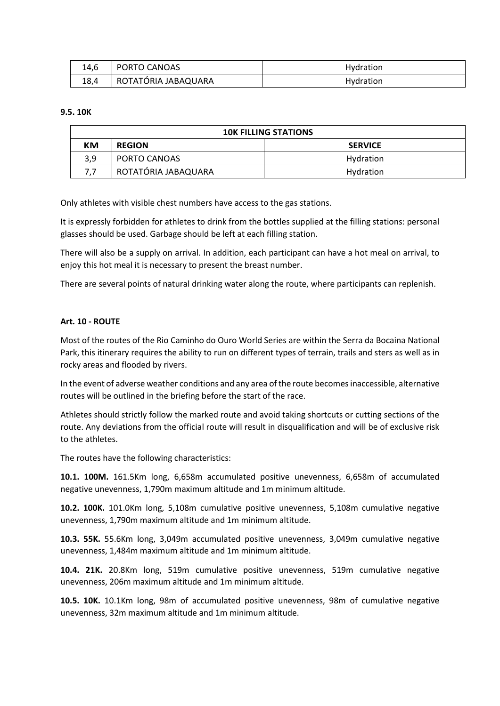| 14.6 | PORTO CANOAS        | Hydration |
|------|---------------------|-----------|
| 18.4 | ROTATÓRIA JABAQUARA | Hydration |

#### **9.5. 10K**

| <b>10K FILLING STATIONS</b> |                     |                |  |  |
|-----------------------------|---------------------|----------------|--|--|
| КM                          | <b>REGION</b>       | <b>SERVICE</b> |  |  |
| 3,9                         | PORTO CANOAS        | Hydration      |  |  |
| 7,7                         | ROTATÓRIA JABAQUARA | Hydration      |  |  |

Only athletes with visible chest numbers have access to the gas stations.

It is expressly forbidden for athletes to drink from the bottles supplied at the filling stations: personal glasses should be used. Garbage should be left at each filling station.

There will also be a supply on arrival. In addition, each participant can have a hot meal on arrival, to enjoy this hot meal it is necessary to present the breast number.

There are several points of natural drinking water along the route, where participants can replenish.

#### **Art. 10 - ROUTE**

Most of the routes of the Rio Caminho do Ouro World Series are within the Serra da Bocaina National Park, this itinerary requires the ability to run on different types of terrain, trails and sters as well as in rocky areas and flooded by rivers.

In the event of adverse weather conditions and any area of the route becomes inaccessible, alternative routes will be outlined in the briefing before the start of the race.

Athletes should strictly follow the marked route and avoid taking shortcuts or cutting sections of the route. Any deviations from the official route will result in disqualification and will be of exclusive risk to the athletes.

The routes have the following characteristics:

**10.1. 100M.** 161.5Km long, 6,658m accumulated positive unevenness, 6,658m of accumulated negative unevenness, 1,790m maximum altitude and 1m minimum altitude.

**10.2. 100K.** 101.0Km long, 5,108m cumulative positive unevenness, 5,108m cumulative negative unevenness, 1,790m maximum altitude and 1m minimum altitude.

**10.3. 55K.** 55.6Km long, 3,049m accumulated positive unevenness, 3,049m cumulative negative unevenness, 1,484m maximum altitude and 1m minimum altitude.

**10.4. 21K.** 20.8Km long, 519m cumulative positive unevenness, 519m cumulative negative unevenness, 206m maximum altitude and 1m minimum altitude.

**10.5. 10K.** 10.1Km long, 98m of accumulated positive unevenness, 98m of cumulative negative unevenness, 32m maximum altitude and 1m minimum altitude.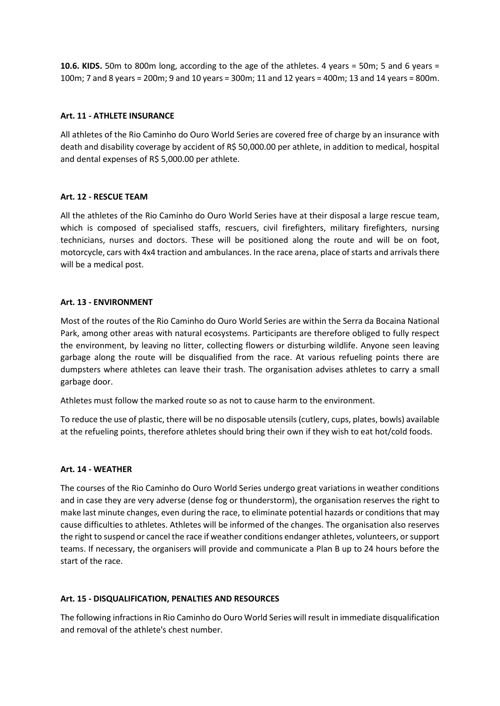**10.6. KIDS.** 50m to 800m long, according to the age of the athletes. 4 years = 50m; 5 and 6 years = 100m; 7 and 8 years = 200m; 9 and 10 years = 300m; 11 and 12 years = 400m; 13 and 14 years = 800m.

## **Art. 11 - ATHLETE INSURANCE**

All athletes of the Rio Caminho do Ouro World Series are covered free of charge by an insurance with death and disability coverage by accident of R\$ 50,000.00 per athlete, in addition to medical, hospital and dental expenses of R\$ 5,000.00 per athlete.

# **Art. 12 - RESCUE TEAM**

All the athletes of the Rio Caminho do Ouro World Series have at their disposal a large rescue team, which is composed of specialised staffs, rescuers, civil firefighters, military firefighters, nursing technicians, nurses and doctors. These will be positioned along the route and will be on foot, motorcycle, cars with 4x4 traction and ambulances. In the race arena, place of starts and arrivals there will be a medical post.

# **Art. 13 - ENVIRONMENT**

Most of the routes of the Rio Caminho do Ouro World Series are within the Serra da Bocaina National Park, among other areas with natural ecosystems. Participants are therefore obliged to fully respect the environment, by leaving no litter, collecting flowers or disturbing wildlife. Anyone seen leaving garbage along the route will be disqualified from the race. At various refueling points there are dumpsters where athletes can leave their trash. The organisation advises athletes to carry a small garbage door.

Athletes must follow the marked route so as not to cause harm to the environment.

To reduce the use of plastic, there will be no disposable utensils (cutlery, cups, plates, bowls) available at the refueling points, therefore athletes should bring their own if they wish to eat hot/cold foods.

## **Art. 14 - WEATHER**

The courses of the Rio Caminho do Ouro World Series undergo great variations in weather conditions and in case they are very adverse (dense fog or thunderstorm), the organisation reserves the right to make last minute changes, even during the race, to eliminate potential hazards or conditions that may cause difficulties to athletes. Athletes will be informed of the changes. The organisation also reserves the right to suspend or cancel the race if weather conditions endanger athletes, volunteers, or support teams. If necessary, the organisers will provide and communicate a Plan B up to 24 hours before the start of the race.

# **Art. 15 - DISQUALIFICATION, PENALTIES AND RESOURCES**

The following infractions in Rio Caminho do Ouro World Series will result in immediate disqualification and removal of the athlete's chest number.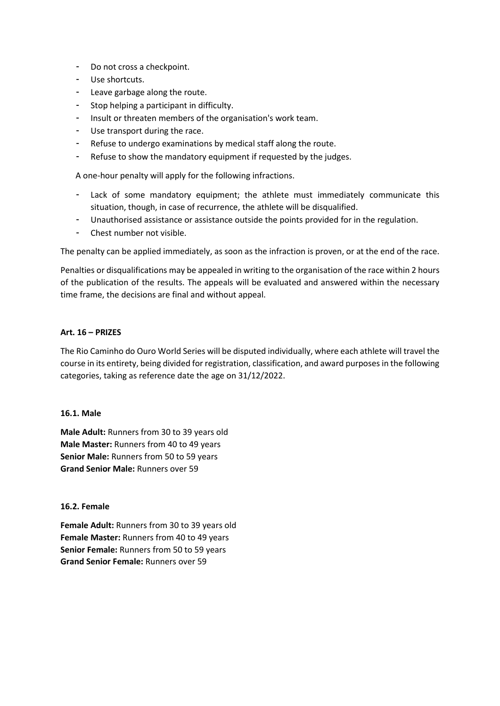- Do not cross a checkpoint.
- Use shortcuts.
- Leave garbage along the route.
- Stop helping a participant in difficulty.
- Insult or threaten members of the organisation's work team.
- Use transport during the race.
- Refuse to undergo examinations by medical staff along the route.
- Refuse to show the mandatory equipment if requested by the judges.

A one-hour penalty will apply for the following infractions.

- Lack of some mandatory equipment; the athlete must immediately communicate this situation, though, in case of recurrence, the athlete will be disqualified.
- Unauthorised assistance or assistance outside the points provided for in the regulation.
- Chest number not visible.

The penalty can be applied immediately, as soon as the infraction is proven, or at the end of the race.

Penalties or disqualifications may be appealed in writing to the organisation of the race within 2 hours of the publication of the results. The appeals will be evaluated and answered within the necessary time frame, the decisions are final and without appeal.

## **Art. 16 – PRIZES**

The Rio Caminho do Ouro World Series will be disputed individually, where each athlete will travel the course in its entirety, being divided for registration, classification, and award purposes in the following categories, taking as reference date the age on 31/12/2022.

## **16.1. Male**

**Male Adult:** Runners from 30 to 39 years old **Male Master:** Runners from 40 to 49 years **Senior Male:** Runners from 50 to 59 years **Grand Senior Male:** Runners over 59

## **16.2. Female**

**Female Adult:** Runners from 30 to 39 years old **Female Master:** Runners from 40 to 49 years **Senior Female:** Runners from 50 to 59 years **Grand Senior Female:** Runners over 59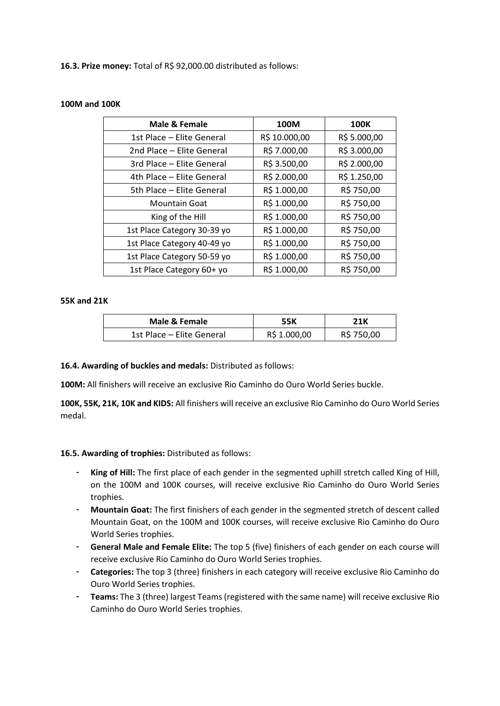**16.3. Prize money:** Total of R\$ 92,000.00 distributed as follows:

| Male & Female               | 100M          | <b>100K</b>  |
|-----------------------------|---------------|--------------|
| 1st Place - Elite General   | R\$ 10.000,00 | R\$ 5.000,00 |
| 2nd Place - Elite General   | R\$ 7.000,00  | R\$ 3.000,00 |
| 3rd Place - Elite General   | R\$ 3.500,00  | R\$ 2.000,00 |
| 4th Place - Elite General   | R\$ 2.000,00  | R\$ 1.250,00 |
| 5th Place - Elite General   | R\$ 1.000,00  | R\$ 750,00   |
| <b>Mountain Goat</b>        | R\$ 1.000,00  | R\$ 750,00   |
| King of the Hill            | R\$ 1.000,00  | R\$ 750,00   |
| 1st Place Category 30-39 yo | R\$ 1.000,00  | R\$ 750,00   |
| 1st Place Category 40-49 yo | R\$ 1.000,00  | R\$ 750,00   |
| 1st Place Category 50-59 yo | R\$ 1.000,00  | R\$ 750,00   |
| 1st Place Category 60+ yo   | R\$ 1.000,00  | R\$ 750,00   |

# **100M and 100K**

## **55K and 21K**

| Male & Female             | 55K          | 21K        |
|---------------------------|--------------|------------|
| 1st Place – Elite General | R\$ 1.000,00 | R\$ 750,00 |

## **16.4. Awarding of buckles and medals:** Distributed as follows:

**100M:** All finishers will receive an exclusive Rio Caminho do Ouro World Series buckle.

**100K, 55K, 21K, 10K and KIDS:** All finishers will receive an exclusive Rio Caminho do Ouro World Series medal.

## **16.5. Awarding of trophies:** Distributed as follows:

- **King of Hill:** The first place of each gender in the segmented uphill stretch called King of Hill, on the 100M and 100K courses, will receive exclusive Rio Caminho do Ouro World Series trophies.
- **Mountain Goat:** The first finishers of each gender in the segmented stretch of descent called Mountain Goat, on the 100M and 100K courses, will receive exclusive Rio Caminho do Ouro World Series trophies.
- **General Male and Female Elite:** The top 5 (five) finishers of each gender on each course will receive exclusive Rio Caminho do Ouro World Series trophies.
- **Categories:** The top 3 (three) finishers in each category will receive exclusive Rio Caminho do Ouro World Series trophies.
- **Teams:** The 3 (three) largest Teams (registered with the same name) will receive exclusive Rio Caminho do Ouro World Series trophies.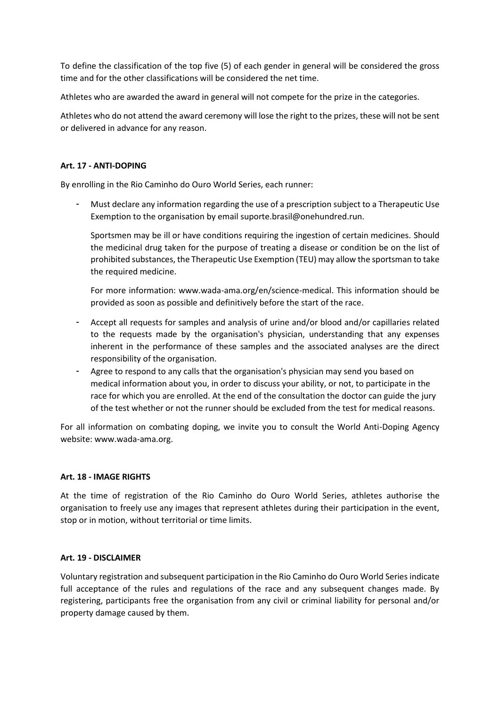To define the classification of the top five (5) of each gender in general will be considered the gross time and for the other classifications will be considered the net time.

Athletes who are awarded the award in general will not compete for the prize in the categories.

Athletes who do not attend the award ceremony will lose the right to the prizes, these will not be sent or delivered in advance for any reason.

# **Art. 17 - ANTI-DOPING**

By enrolling in the Rio Caminho do Ouro World Series, each runner:

- Must declare any information regarding the use of a prescription subject to a Therapeutic Use Exemption to the organisation by email suporte.brasil@onehundred.run.

Sportsmen may be ill or have conditions requiring the ingestion of certain medicines. Should the medicinal drug taken for the purpose of treating a disease or condition be on the list of prohibited substances, the Therapeutic Use Exemption (TEU) may allow the sportsman to take the required medicine.

For more information: www.wada-ama.org/en/science-medical. This information should be provided as soon as possible and definitively before the start of the race.

- Accept all requests for samples and analysis of urine and/or blood and/or capillaries related to the requests made by the organisation's physician, understanding that any expenses inherent in the performance of these samples and the associated analyses are the direct responsibility of the organisation.
- Agree to respond to any calls that the organisation's physician may send you based on medical information about you, in order to discuss your ability, or not, to participate in the race for which you are enrolled. At the end of the consultation the doctor can guide the jury of the test whether or not the runner should be excluded from the test for medical reasons.

For all information on combating doping, we invite you to consult the World Anti-Doping Agency website: www.wada-ama.org.

## **Art. 18 - IMAGE RIGHTS**

At the time of registration of the Rio Caminho do Ouro World Series, athletes authorise the organisation to freely use any images that represent athletes during their participation in the event, stop or in motion, without territorial or time limits.

## **Art. 19 - DISCLAIMER**

Voluntary registration and subsequent participation in the Rio Caminho do Ouro World Series indicate full acceptance of the rules and regulations of the race and any subsequent changes made. By registering, participants free the organisation from any civil or criminal liability for personal and/or property damage caused by them.